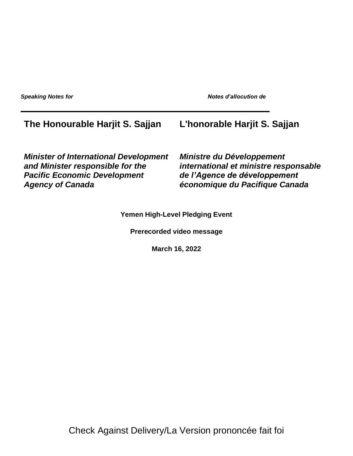**Speaking Notes for Notes d'allocution de la proportion de la proportion de la proportion de la proportion de l** 

## **The Honourable Harjit S. Sajjan L'honorable Harjit S. Sajjan**

*Minister of International Development and Minister responsible for the Pacific Economic Development Agency of Canada*

*Ministre du Développement international et ministre responsable de l'Agence de développement économique du Pacifique Canada*

**Yemen High-Level Pledging Event**

**Prerecorded video message**

**March 16, 2022**

Check Against Delivery/La Version prononcée fait foi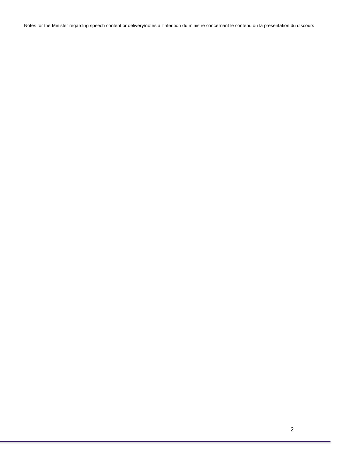Notes for the Minister regarding speech content or delivery/notes à l'intention du ministre concernant le contenu ou la présentation du discours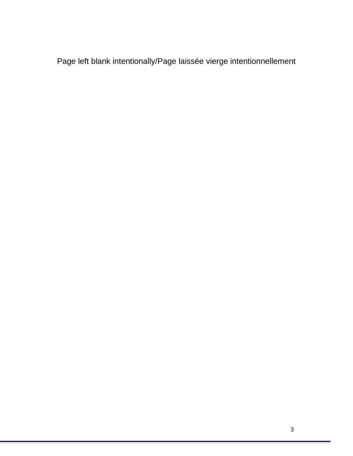Page left blank intentionally/Page laissée vierge intentionnellement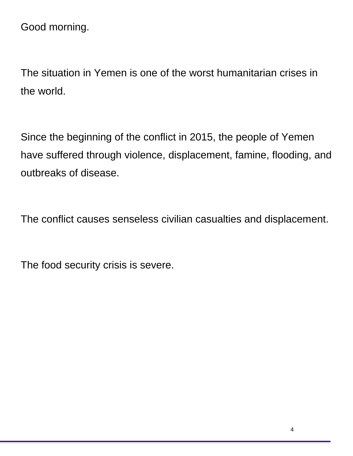Good morning.

The situation in Yemen is one of the worst humanitarian crises in the world.

Since the beginning of the conflict in 2015, the people of Yemen have suffered through violence, displacement, famine, flooding, and outbreaks of disease.

The conflict causes senseless civilian casualties and displacement.

The food security crisis is severe.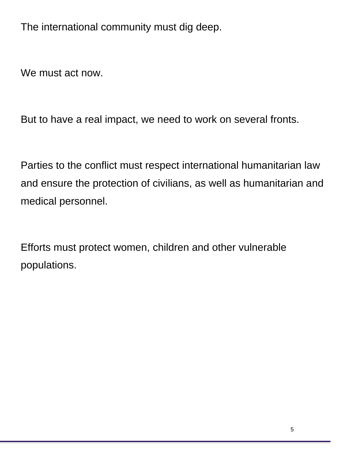The international community must dig deep.

We must act now.

But to have a real impact, we need to work on several fronts.

Parties to the conflict must respect international humanitarian law and ensure the protection of civilians, as well as humanitarian and medical personnel.

Efforts must protect women, children and other vulnerable populations.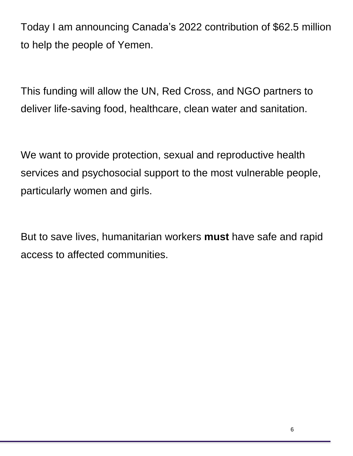Today I am announcing Canada's 2022 contribution of \$62.5 million to help the people of Yemen.

This funding will allow the UN, Red Cross, and NGO partners to deliver life-saving food, healthcare, clean water and sanitation.

We want to provide protection, sexual and reproductive health services and psychosocial support to the most vulnerable people, particularly women and girls.

But to save lives, humanitarian workers **must** have safe and rapid access to affected communities.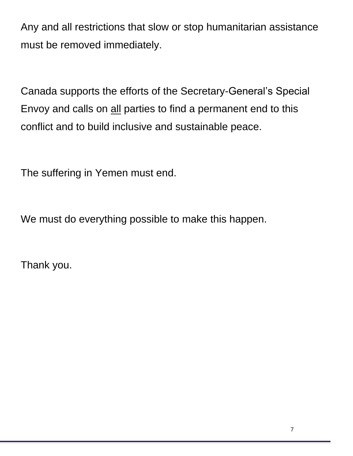Any and all restrictions that slow or stop humanitarian assistance must be removed immediately.

Canada supports the efforts of the Secretary-General's Special Envoy and calls on all parties to find a permanent end to this conflict and to build inclusive and sustainable peace.

The suffering in Yemen must end.

We must do everything possible to make this happen.

Thank you.